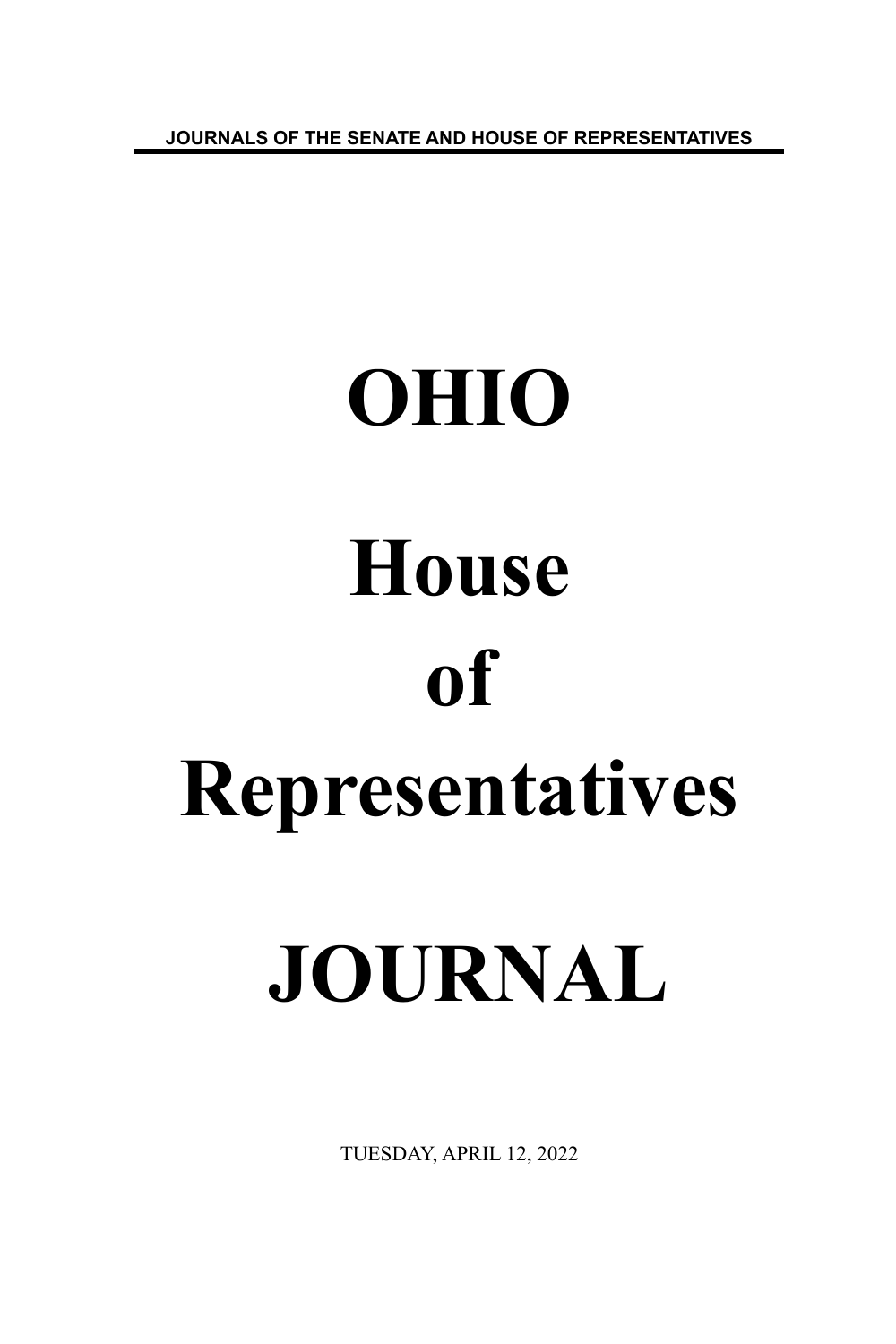**JOURNALS OF THE SENATE AND HOUSE OF REPRESENTATIVES**

# **OHIO House of Representatives JOURNAL**

TUESDAY, APRIL 12, 2022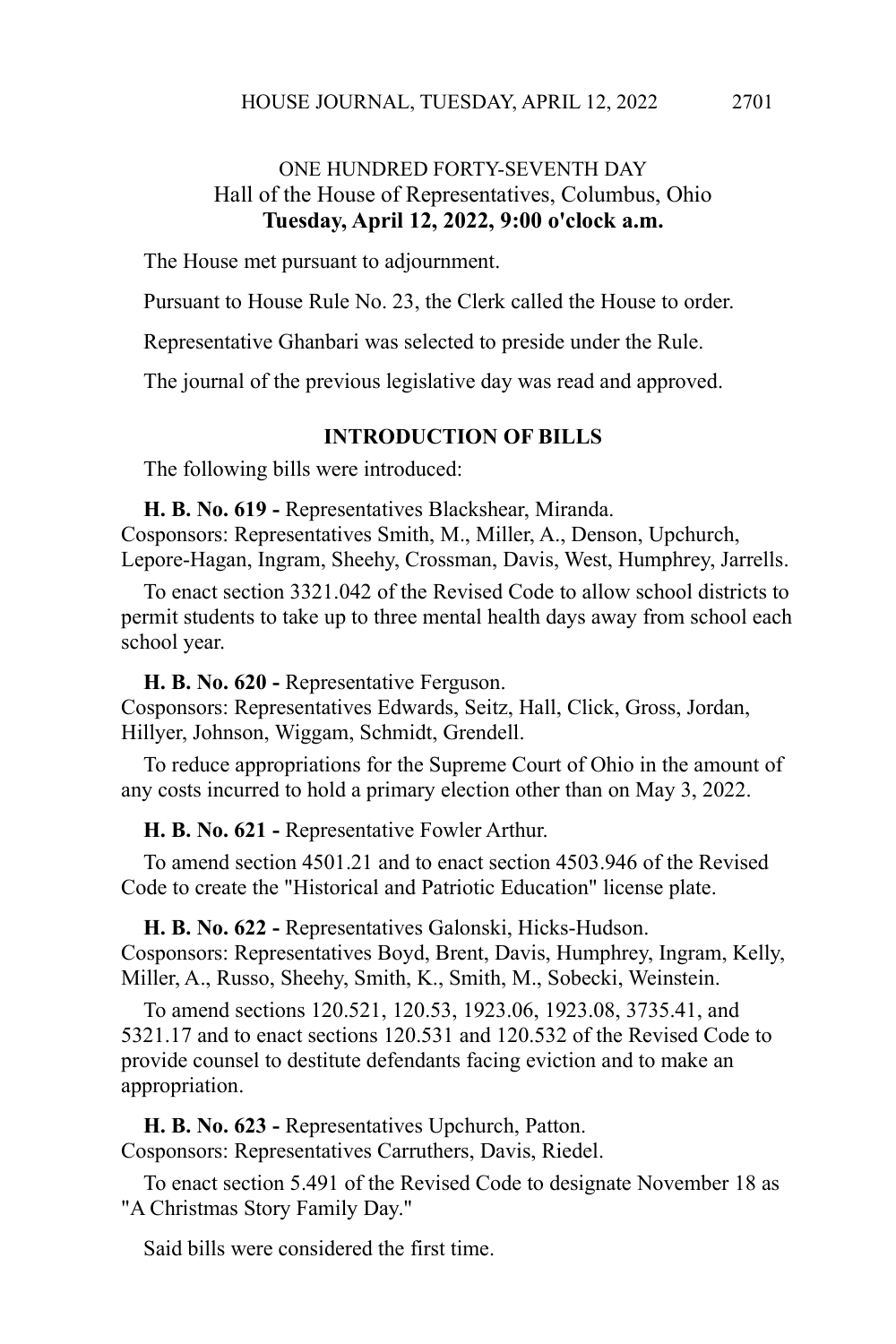# ONE HUNDRED FORTY-SEVENTH DAY Hall of the House of Representatives, Columbus, Ohio **Tuesday, April 12, 2022, 9:00 o'clock a.m.**

The House met pursuant to adjournment.

Pursuant to House Rule No. 23, the Clerk called the House to order.

Representative Ghanbari was selected to preside under the Rule.

The journal of the previous legislative day was read and approved.

# **INTRODUCTION OF BILLS**

The following bills were introduced:

**H. B. No. 619 -** Representatives Blackshear, Miranda.

Cosponsors: Representatives Smith, M., Miller, A., Denson, Upchurch, Lepore-Hagan, Ingram, Sheehy, Crossman, Davis, West, Humphrey, Jarrells.

To enact section 3321.042 of the Revised Code to allow school districts to permit students to take up to three mental health days away from school each school year.

**H. B. No. 620 -** Representative Ferguson. Cosponsors: Representatives Edwards, Seitz, Hall, Click, Gross, Jordan, Hillyer, Johnson, Wiggam, Schmidt, Grendell.

To reduce appropriations for the Supreme Court of Ohio in the amount of any costs incurred to hold a primary election other than on May 3, 2022.

**H. B. No. 621 -** Representative Fowler Arthur.

To amend section 4501.21 and to enact section 4503.946 of the Revised Code to create the "Historical and Patriotic Education" license plate.

**H. B. No. 622 -** Representatives Galonski, Hicks-Hudson. Cosponsors: Representatives Boyd, Brent, Davis, Humphrey, Ingram, Kelly, Miller, A., Russo, Sheehy, Smith, K., Smith, M., Sobecki, Weinstein.

To amend sections 120.521, 120.53, 1923.06, 1923.08, 3735.41, and 5321.17 and to enact sections 120.531 and 120.532 of the Revised Code to provide counsel to destitute defendants facing eviction and to make an appropriation.

**H. B. No. 623 -** Representatives Upchurch, Patton. Cosponsors: Representatives Carruthers, Davis, Riedel.

To enact section 5.491 of the Revised Code to designate November 18 as "A Christmas Story Family Day."

Said bills were considered the first time.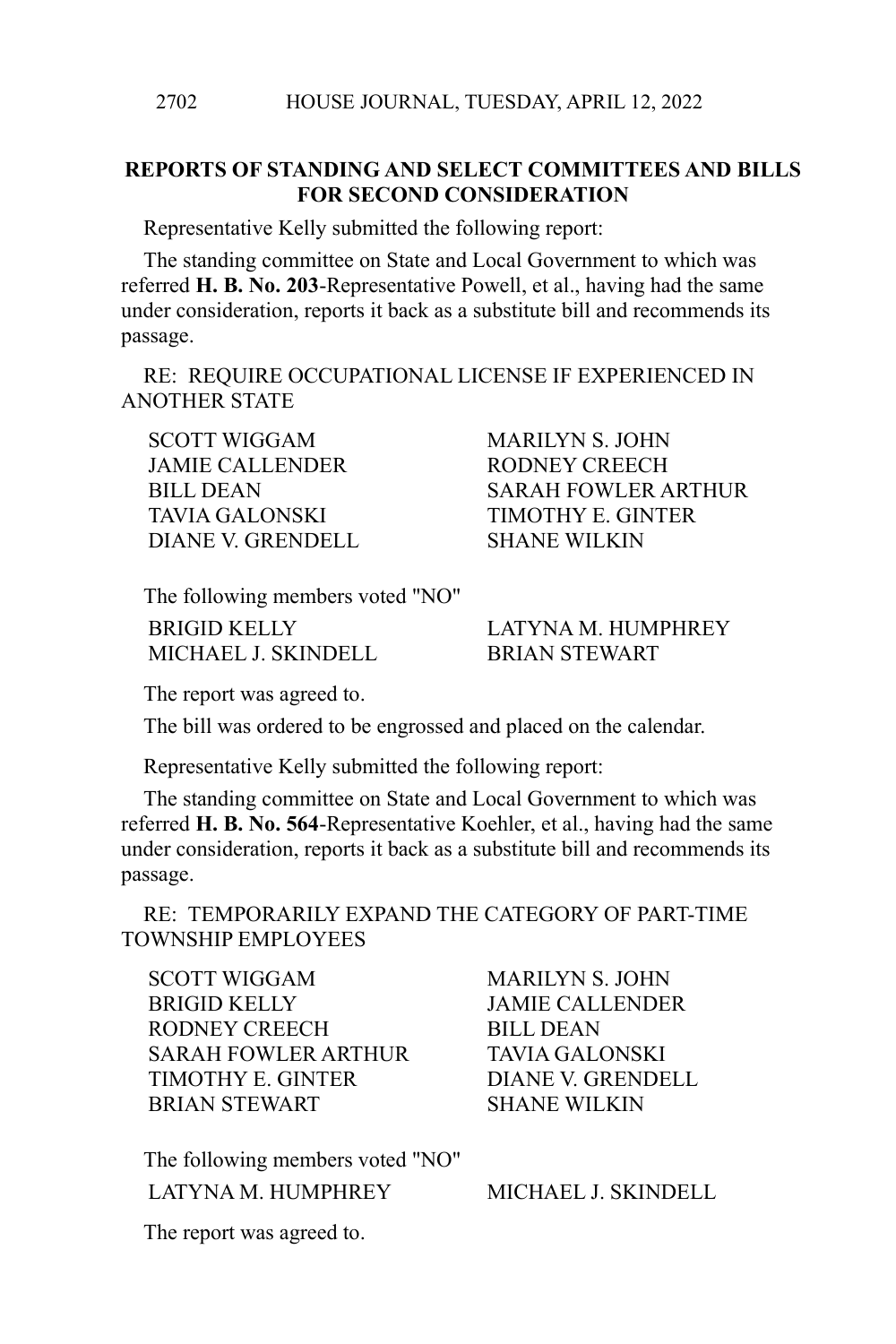## **REPORTS OF STANDING AND SELECT COMMITTEES AND BILLS FOR SECOND CONSIDERATION**

Representative Kelly submitted the following report:

The standing committee on State and Local Government to which was referred **H. B. No. 203**-Representative Powell, et al., having had the same under consideration, reports it back as a substitute bill and recommends its passage.

RE: REQUIRE OCCUPATIONAL LICENSE IF EXPERIENCED IN ANOTHER STATE

JAMIE CALLENDER RODNEY CREECH TAVIA GALONSKI TIMOTHY E. GINTER DIANE V. GRENDELL SHANE WILKIN

SCOTT WIGGAM MARILYN S. JOHN BILL DEAN SARAH FOWLER ARTHUR

The following members voted "NO"

MICHAEL J. SKINDELL BRIAN STEWART

BRIGID KELLY LATYNA M. HUMPHREY

The report was agreed to.

The bill was ordered to be engrossed and placed on the calendar.

Representative Kelly submitted the following report:

The standing committee on State and Local Government to which was referred **H. B. No. 564**-Representative Koehler, et al., having had the same under consideration, reports it back as a substitute bill and recommends its passage.

RE: TEMPORARILY EXPAND THE CATEGORY OF PART-TIME TOWNSHIP EMPLOYEES

SCOTT WIGGAM MARILYN S. JOHN BRIGID KELLY JAMIE CALLENDER RODNEY CREECH BILL DEAN SARAH FOWLER ARTHUR TAVIA GALONSKI TIMOTHY E. GINTER DIANE V. GRENDELL BRIAN STEWART SHANE WILKIN

The following members voted "NO" LATYNA M. HUMPHREY MICHAEL J. SKINDELL

The report was agreed to.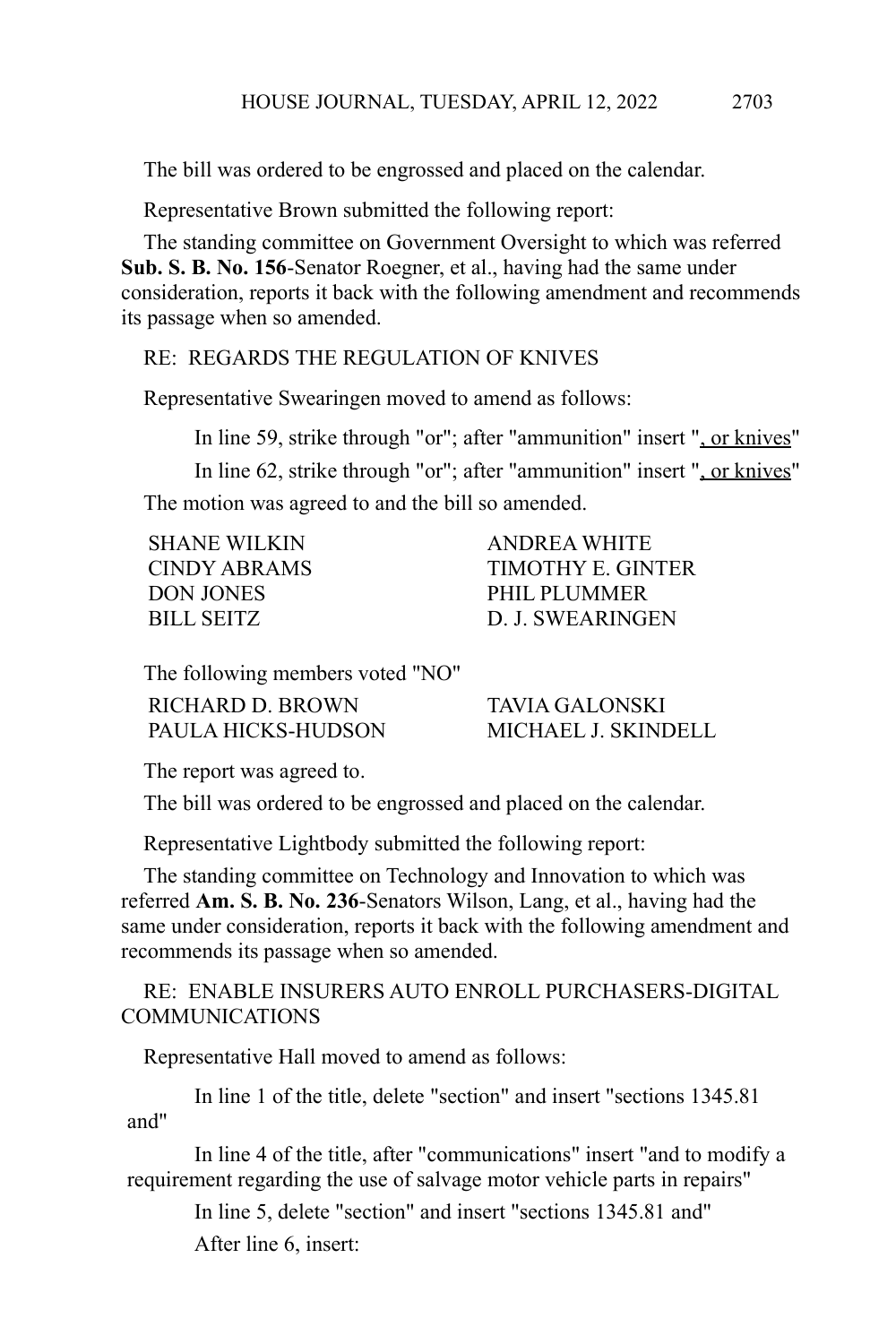The bill was ordered to be engrossed and placed on the calendar.

Representative Brown submitted the following report:

The standing committee on Government Oversight to which was referred **Sub. S. B. No. 156**-Senator Roegner, et al., having had the same under consideration, reports it back with the following amendment and recommends its passage when so amended.

RE: REGARDS THE REGULATION OF KNIVES

Representative Swearingen moved to amend as follows:

In line 59, strike through "or"; after "ammunition" insert ", or knives"

In line 62, strike through "or"; after "ammunition" insert ", or knives" The motion was agreed to and the bill so amended.

| <b>SHANE WILKIN</b> | ANDREA WHITE      |
|---------------------|-------------------|
| CINDY ABRAMS        | TIMOTHY E. GINTER |
| <b>DON JONES</b>    | PHIL PLUMMER      |
| BILL SEITZ          | D. J. SWEARINGEN  |
|                     |                   |

The following members voted "NO"

| RICHARD D. BROWN   | <b>TAVIA GALONSKI</b> |
|--------------------|-----------------------|
| PAULA HICKS-HUDSON | MICHAEL J. SKINDELL   |

The report was agreed to.

The bill was ordered to be engrossed and placed on the calendar.

Representative Lightbody submitted the following report:

The standing committee on Technology and Innovation to which was referred **Am. S. B. No. 236**-Senators Wilson, Lang, et al., having had the same under consideration, reports it back with the following amendment and recommends its passage when so amended.

## RE: ENABLE INSURERS AUTO ENROLL PURCHASERS-DIGITAL COMMUNICATIONS

Representative Hall moved to amend as follows:

In line 1 of the title, delete "section" and insert "sections 1345.81 and"

In line 4 of the title, after "communications" insert "and to modify a requirement regarding the use of salvage motor vehicle parts in repairs"

In line 5, delete "section" and insert "sections 1345.81 and" After line 6, insert: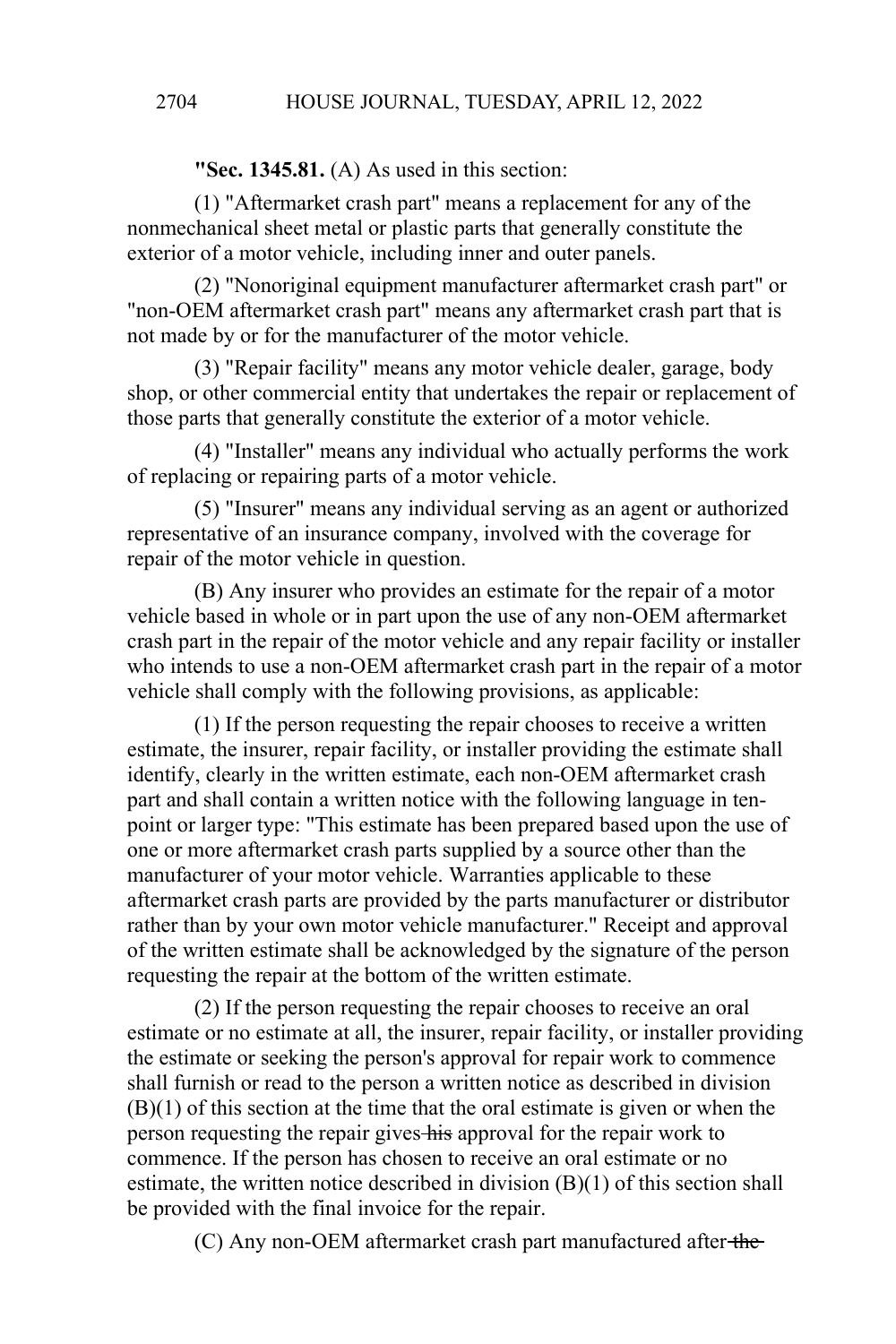**"Sec. 1345.81.** (A) As used in this section:

(1) "Aftermarket crash part" means a replacement for any of the nonmechanical sheet metal or plastic parts that generally constitute the exterior of a motor vehicle, including inner and outer panels.

(2) "Nonoriginal equipment manufacturer aftermarket crash part" or "non-OEM aftermarket crash part" means any aftermarket crash part that is not made by or for the manufacturer of the motor vehicle.

(3) "Repair facility" means any motor vehicle dealer, garage, body shop, or other commercial entity that undertakes the repair or replacement of those parts that generally constitute the exterior of a motor vehicle.

(4) "Installer" means any individual who actually performs the work of replacing or repairing parts of a motor vehicle.

(5) "Insurer" means any individual serving as an agent or authorized representative of an insurance company, involved with the coverage for repair of the motor vehicle in question.

(B) Any insurer who provides an estimate for the repair of a motor vehicle based in whole or in part upon the use of any non-OEM aftermarket crash part in the repair of the motor vehicle and any repair facility or installer who intends to use a non-OEM aftermarket crash part in the repair of a motor vehicle shall comply with the following provisions, as applicable:

(1) If the person requesting the repair chooses to receive a written estimate, the insurer, repair facility, or installer providing the estimate shall identify, clearly in the written estimate, each non-OEM aftermarket crash part and shall contain a written notice with the following language in tenpoint or larger type: "This estimate has been prepared based upon the use of one or more aftermarket crash parts supplied by a source other than the manufacturer of your motor vehicle. Warranties applicable to these aftermarket crash parts are provided by the parts manufacturer or distributor rather than by your own motor vehicle manufacturer." Receipt and approval of the written estimate shall be acknowledged by the signature of the person requesting the repair at the bottom of the written estimate.

(2) If the person requesting the repair chooses to receive an oral estimate or no estimate at all, the insurer, repair facility, or installer providing the estimate or seeking the person's approval for repair work to commence shall furnish or read to the person a written notice as described in division (B)(1) of this section at the time that the oral estimate is given or when the person requesting the repair gives his approval for the repair work to commence. If the person has chosen to receive an oral estimate or no estimate, the written notice described in division (B)(1) of this section shall be provided with the final invoice for the repair.

(C) Any non-OEM aftermarket crash part manufactured after the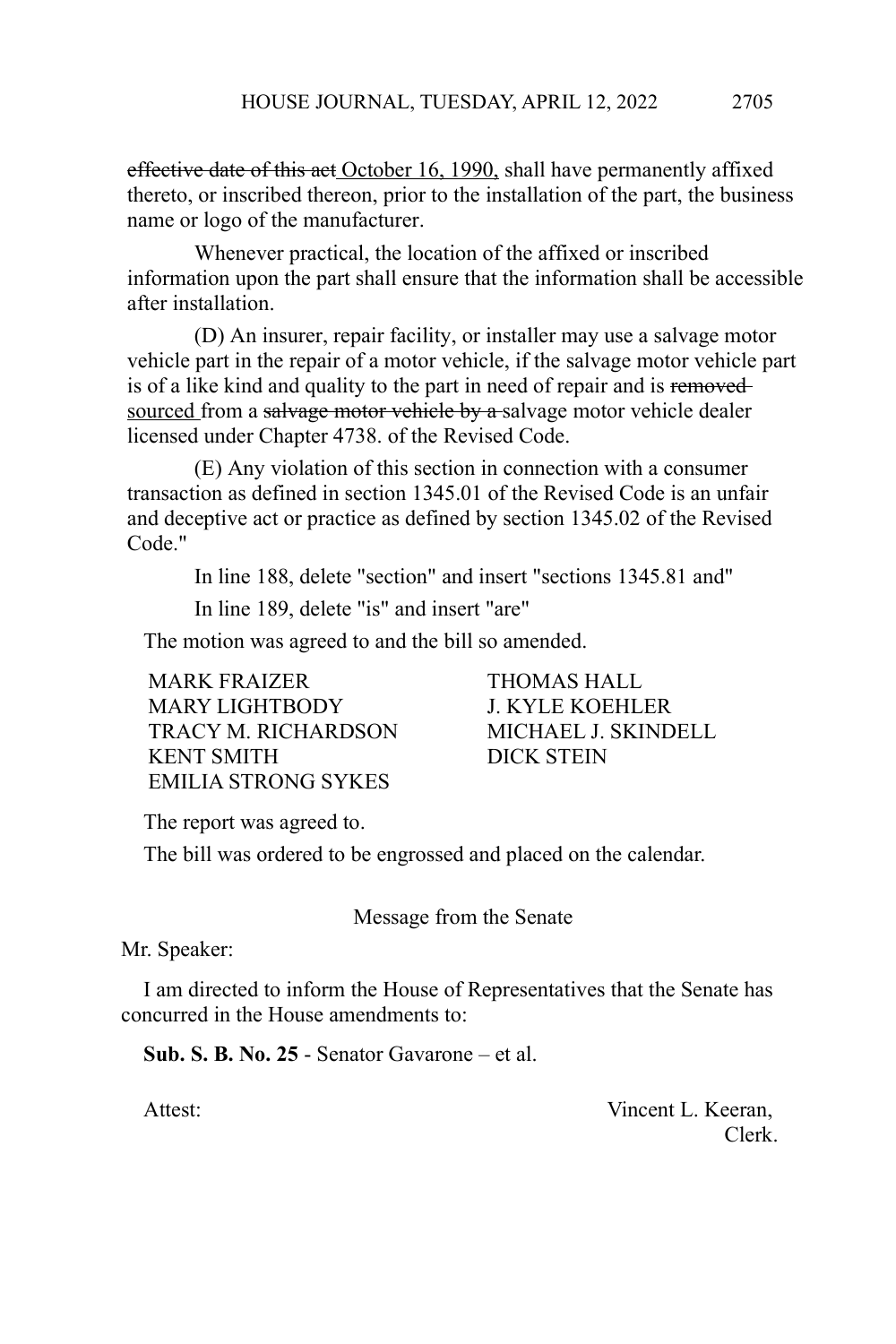effective date of this act October 16, 1990, shall have permanently affixed thereto, or inscribed thereon, prior to the installation of the part, the business name or logo of the manufacturer.

Whenever practical, the location of the affixed or inscribed information upon the part shall ensure that the information shall be accessible after installation.

(D) An insurer, repair facility, or installer may use a salvage motor vehicle part in the repair of a motor vehicle, if the salvage motor vehicle part is of a like kind and quality to the part in need of repair and is removedsourced from a salvage motor vehicle by a salvage motor vehicle dealer licensed under Chapter 4738. of the Revised Code.

(E) Any violation of this section in connection with a consumer transaction as defined in section 1345.01 of the Revised Code is an unfair and deceptive act or practice as defined by section 1345.02 of the Revised Code."

In line 188, delete "section" and insert "sections 1345.81 and"

In line 189, delete "is" and insert "are"

The motion was agreed to and the bill so amended.

MARK FRAIZER **THOMAS HALL** MARY LIGHTBODY J. KYLE KOEHLER TRACY M. RICHARDSON MICHAEL J. SKINDELL KENT SMITH DICK STEIN EMILIA STRONG SYKES

The report was agreed to.

The bill was ordered to be engrossed and placed on the calendar.

Message from the Senate

Mr. Speaker:

I am directed to inform the House of Representatives that the Senate has concurred in the House amendments to:

**Sub. S. B. No. 25** - Senator Gavarone – et al.

Attest: Vincent L. Keeran, Clerk.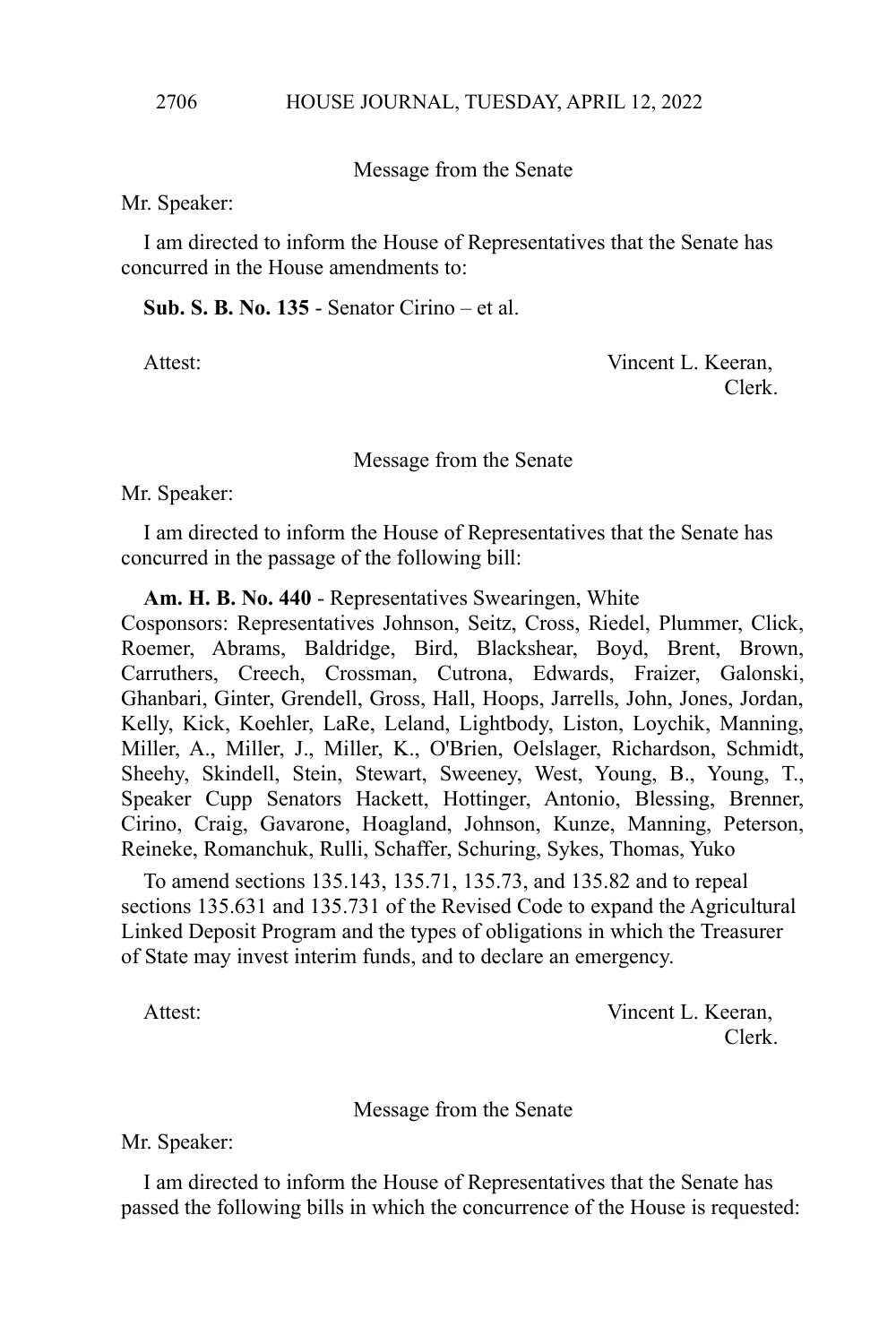Message from the Senate

Mr. Speaker:

I am directed to inform the House of Representatives that the Senate has concurred in the House amendments to:

**Sub. S. B. No. 135** - Senator Cirino – et al.

Attest: Vincent L. Keeran, Clerk.

## Message from the Senate

Mr. Speaker:

I am directed to inform the House of Representatives that the Senate has concurred in the passage of the following bill:

**Am. H. B. No. 440** - Representatives Swearingen, White

Cosponsors: Representatives Johnson, Seitz, Cross, Riedel, Plummer, Click, Roemer, Abrams, Baldridge, Bird, Blackshear, Boyd, Brent, Brown, Carruthers, Creech, Crossman, Cutrona, Edwards, Fraizer, Galonski, Ghanbari, Ginter, Grendell, Gross, Hall, Hoops, Jarrells, John, Jones, Jordan, Kelly, Kick, Koehler, LaRe, Leland, Lightbody, Liston, Loychik, Manning, Miller, A., Miller, J., Miller, K., O'Brien, Oelslager, Richardson, Schmidt, Sheehy, Skindell, Stein, Stewart, Sweeney, West, Young, B., Young, T., Speaker Cupp Senators Hackett, Hottinger, Antonio, Blessing, Brenner, Cirino, Craig, Gavarone, Hoagland, Johnson, Kunze, Manning, Peterson, Reineke, Romanchuk, Rulli, Schaffer, Schuring, Sykes, Thomas, Yuko

To amend sections 135.143, 135.71, 135.73, and 135.82 and to repeal sections 135.631 and 135.731 of the Revised Code to expand the Agricultural Linked Deposit Program and the types of obligations in which the Treasurer of State may invest interim funds, and to declare an emergency.

Attest: Vincent L. Keeran, Clerk.

Message from the Senate

Mr. Speaker:

I am directed to inform the House of Representatives that the Senate has passed the following bills in which the concurrence of the House is requested: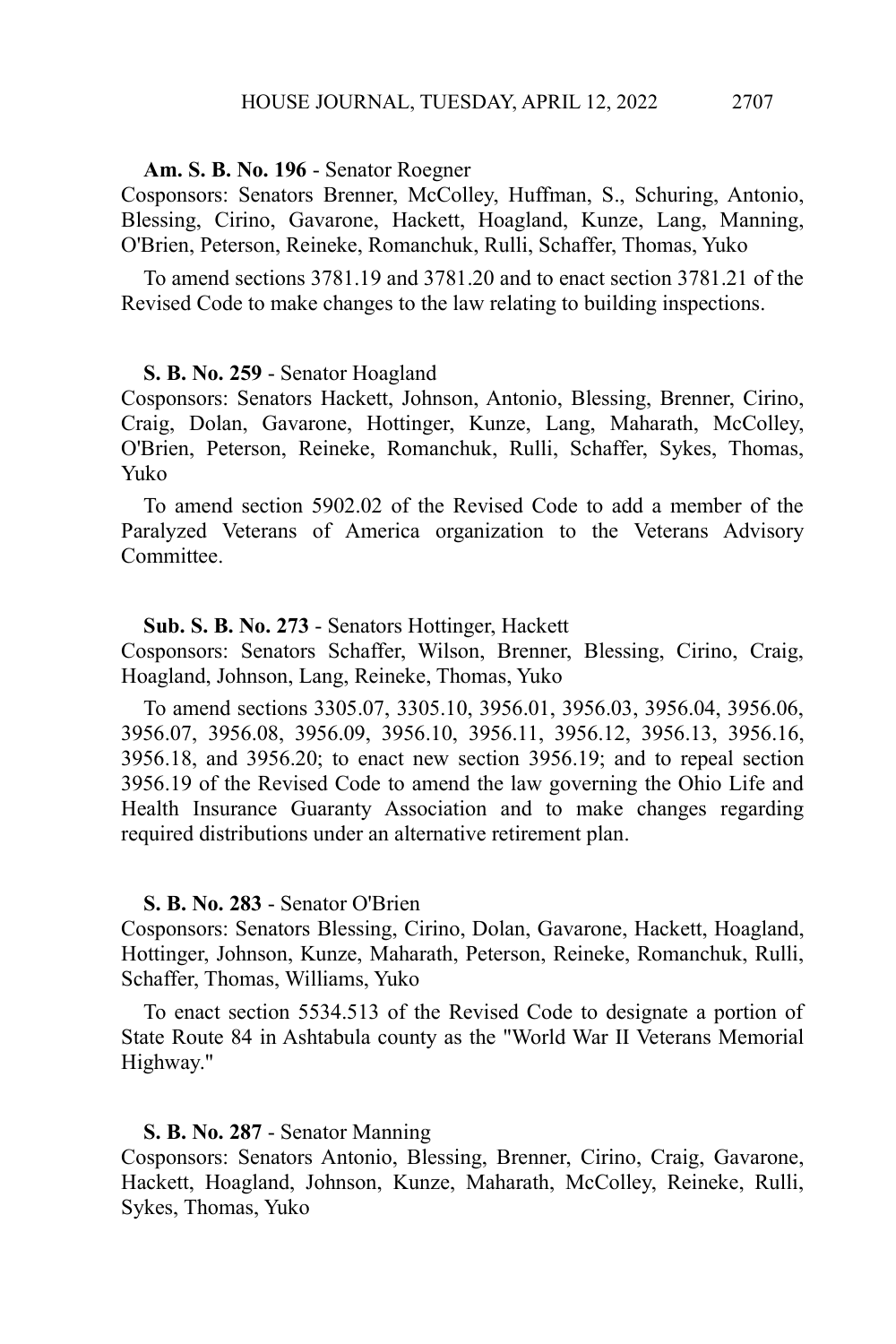## **Am. S. B. No. 196** - Senator Roegner

Cosponsors: Senators Brenner, McColley, Huffman, S., Schuring, Antonio, Blessing, Cirino, Gavarone, Hackett, Hoagland, Kunze, Lang, Manning, O'Brien, Peterson, Reineke, Romanchuk, Rulli, Schaffer, Thomas, Yuko

To amend sections 3781.19 and 3781.20 and to enact section 3781.21 of the Revised Code to make changes to the law relating to building inspections.

#### **S. B. No. 259** - Senator Hoagland

Cosponsors: Senators Hackett, Johnson, Antonio, Blessing, Brenner, Cirino, Craig, Dolan, Gavarone, Hottinger, Kunze, Lang, Maharath, McColley, O'Brien, Peterson, Reineke, Romanchuk, Rulli, Schaffer, Sykes, Thomas, Yuko

To amend section 5902.02 of the Revised Code to add a member of the Paralyzed Veterans of America organization to the Veterans Advisory **Committee** 

### **Sub. S. B. No. 273** - Senators Hottinger, Hackett

Cosponsors: Senators Schaffer, Wilson, Brenner, Blessing, Cirino, Craig, Hoagland, Johnson, Lang, Reineke, Thomas, Yuko

To amend sections 3305.07, 3305.10, 3956.01, 3956.03, 3956.04, 3956.06, 3956.07, 3956.08, 3956.09, 3956.10, 3956.11, 3956.12, 3956.13, 3956.16, 3956.18, and 3956.20; to enact new section 3956.19; and to repeal section 3956.19 of the Revised Code to amend the law governing the Ohio Life and Health Insurance Guaranty Association and to make changes regarding required distributions under an alternative retirement plan.

#### **S. B. No. 283** - Senator O'Brien

Cosponsors: Senators Blessing, Cirino, Dolan, Gavarone, Hackett, Hoagland, Hottinger, Johnson, Kunze, Maharath, Peterson, Reineke, Romanchuk, Rulli, Schaffer, Thomas, Williams, Yuko

To enact section 5534.513 of the Revised Code to designate a portion of State Route 84 in Ashtabula county as the "World War II Veterans Memorial Highway."

#### **S. B. No. 287** - Senator Manning

Cosponsors: Senators Antonio, Blessing, Brenner, Cirino, Craig, Gavarone, Hackett, Hoagland, Johnson, Kunze, Maharath, McColley, Reineke, Rulli, Sykes, Thomas, Yuko